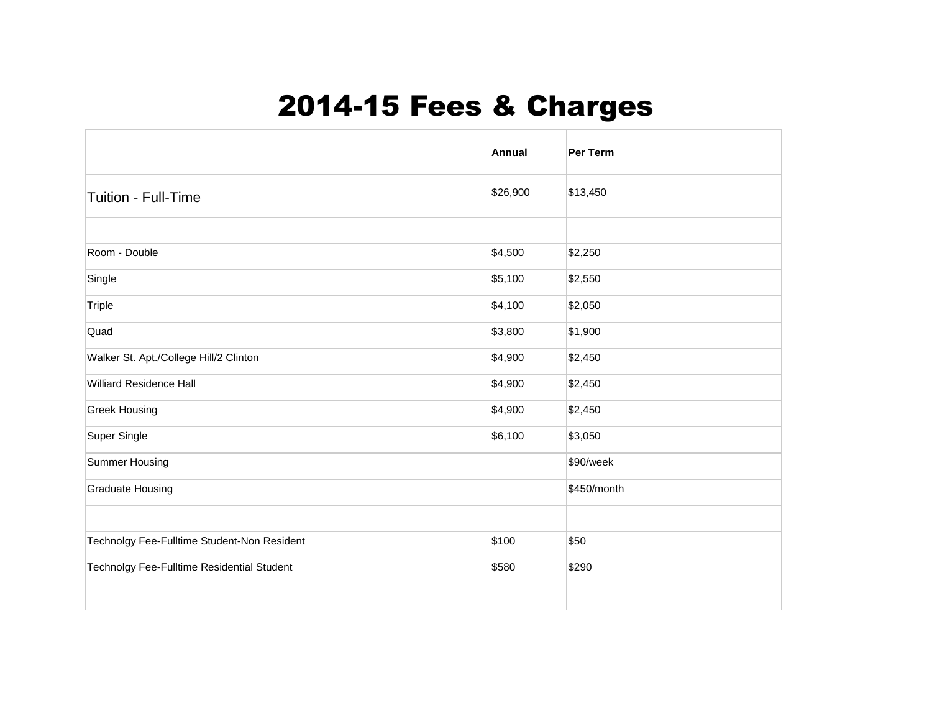## 2014-15 Fees & Charges

|                                             | <b>Annual</b> | Per Term    |
|---------------------------------------------|---------------|-------------|
| Tuition - Full-Time                         | \$26,900      | \$13,450    |
|                                             |               |             |
| Room - Double                               | \$4,500       | \$2,250     |
| Single                                      | \$5,100       | \$2,550     |
| Triple                                      | \$4,100       | \$2,050     |
| Quad                                        | \$3,800       | \$1,900     |
| Walker St. Apt./College Hill/2 Clinton      | \$4,900       | \$2,450     |
| <b>Williard Residence Hall</b>              | \$4,900       | \$2,450     |
| <b>Greek Housing</b>                        | \$4,900       | \$2,450     |
| Super Single                                | \$6,100       | \$3,050     |
| Summer Housing                              |               | \$90/week   |
| <b>Graduate Housing</b>                     |               | \$450/month |
|                                             |               |             |
| Technolgy Fee-Fulltime Student-Non Resident | \$100         | \$50        |
| Technolgy Fee-Fulltime Residential Student  | \$580         | \$290       |
|                                             |               |             |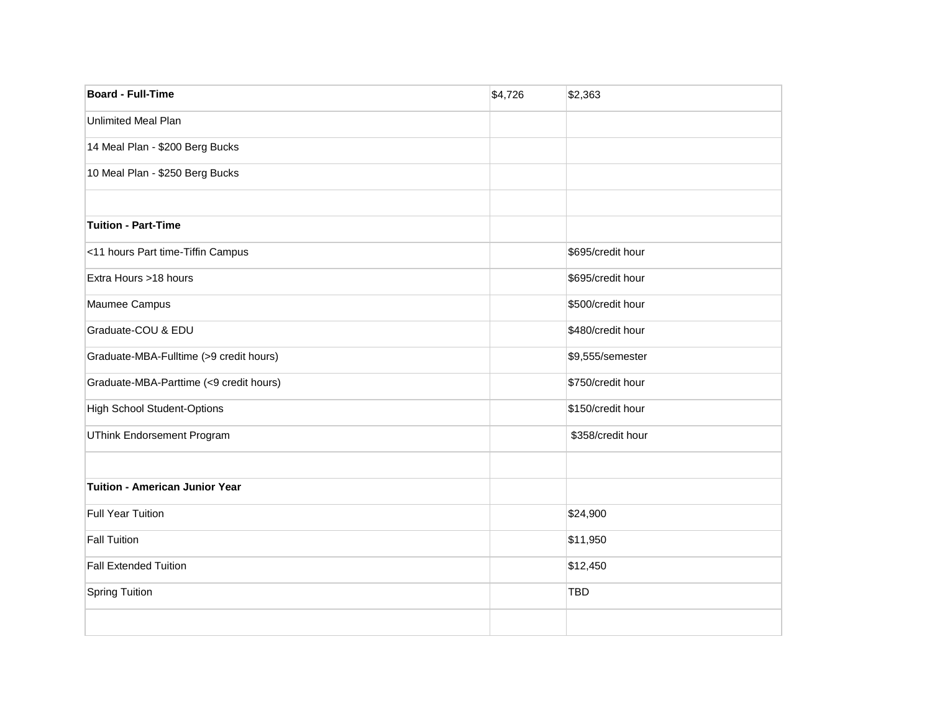| <b>Board - Full-Time</b>                | \$4,726 | \$2,363           |
|-----------------------------------------|---------|-------------------|
| <b>Unlimited Meal Plan</b>              |         |                   |
| 14 Meal Plan - \$200 Berg Bucks         |         |                   |
| 10 Meal Plan - \$250 Berg Bucks         |         |                   |
| <b>Tuition - Part-Time</b>              |         |                   |
| <11 hours Part time-Tiffin Campus       |         | \$695/credit hour |
| Extra Hours >18 hours                   |         | \$695/credit hour |
| Maumee Campus                           |         | \$500/credit hour |
| Graduate-COU & EDU                      |         | \$480/credit hour |
| Graduate-MBA-Fulltime (>9 credit hours) |         | \$9,555/semester  |
| Graduate-MBA-Parttime (<9 credit hours) |         | \$750/credit hour |
| <b>High School Student-Options</b>      |         | \$150/credit hour |
| <b>UThink Endorsement Program</b>       |         | \$358/credit hour |
|                                         |         |                   |
| <b>Tuition - American Junior Year</b>   |         |                   |
| <b>Full Year Tuition</b>                |         | \$24,900          |
| <b>Fall Tuition</b>                     |         | \$11,950          |
| <b>Fall Extended Tuition</b>            |         | \$12,450          |
| <b>Spring Tuition</b>                   |         | <b>TBD</b>        |
|                                         |         |                   |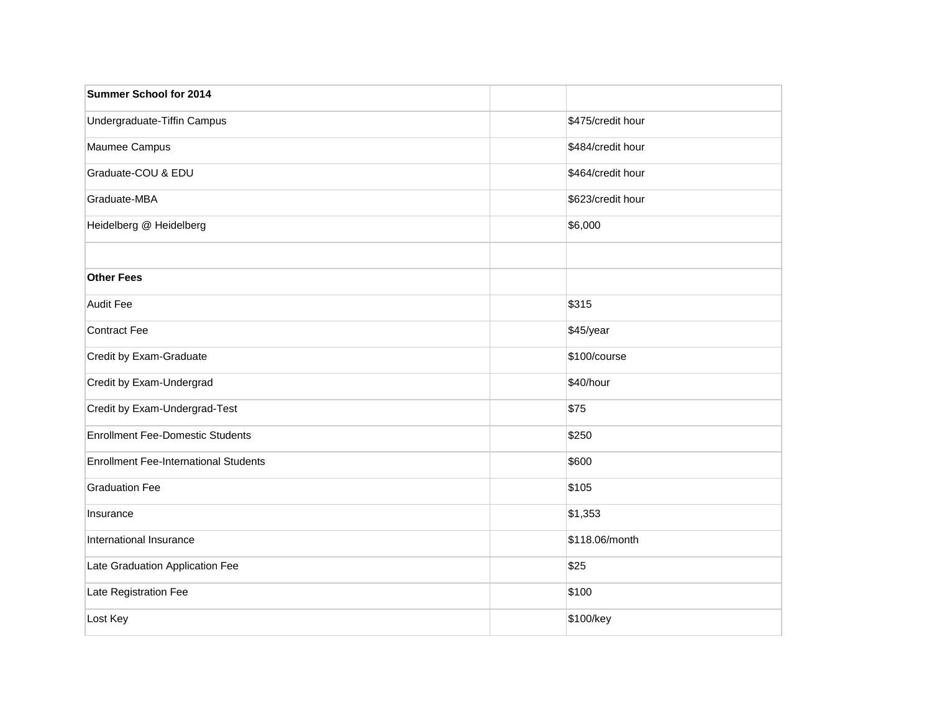| <b>Summer School for 2014</b>                |                   |
|----------------------------------------------|-------------------|
| Undergraduate-Tiffin Campus                  | \$475/credit hour |
| Maumee Campus                                | \$484/credit hour |
| Graduate-COU & EDU                           | \$464/credit hour |
| Graduate-MBA                                 | \$623/credit hour |
| Heidelberg @ Heidelberg                      | \$6,000           |
| <b>Other Fees</b>                            |                   |
| Audit Fee                                    | \$315             |
| Contract Fee                                 | \$45/year         |
| Credit by Exam-Graduate                      | \$100/course      |
| Credit by Exam-Undergrad                     | \$40/hour         |
| Credit by Exam-Undergrad-Test                | \$75              |
| <b>Enrollment Fee-Domestic Students</b>      | \$250             |
| <b>Enrollment Fee-International Students</b> | \$600             |
| <b>Graduation Fee</b>                        | \$105             |
| Insurance                                    | \$1,353           |
| International Insurance                      | \$118.06/month    |
| Late Graduation Application Fee              | \$25              |
| Late Registration Fee                        | \$100             |
| Lost Key                                     | \$100/key         |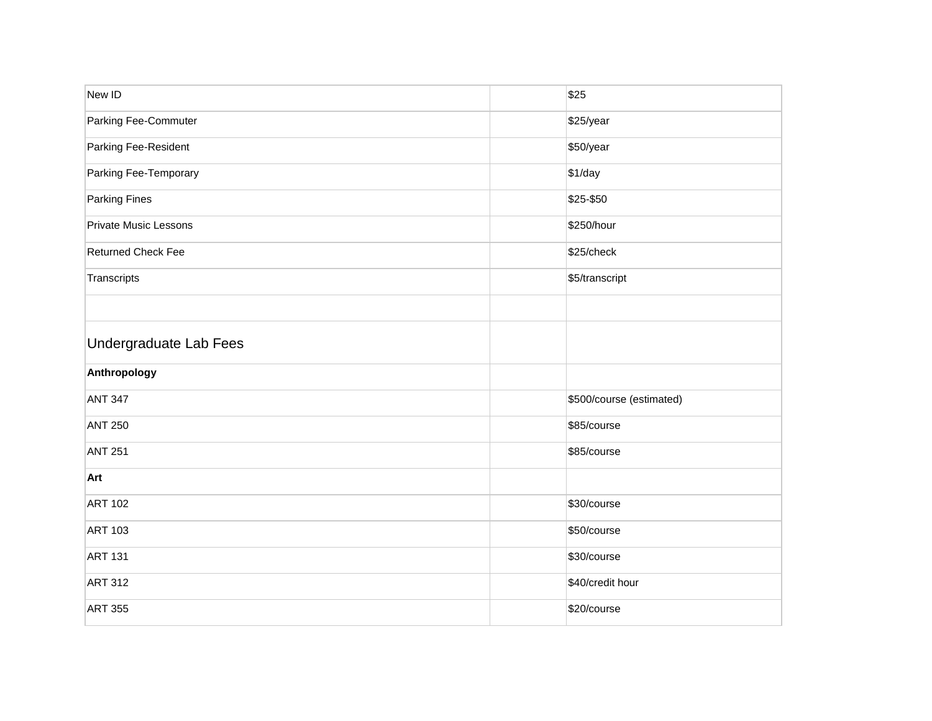| New ID                        | \$25                     |
|-------------------------------|--------------------------|
| Parking Fee-Commuter          | \$25/year                |
| Parking Fee-Resident          | \$50/year                |
| Parking Fee-Temporary         | \$1/day                  |
| <b>Parking Fines</b>          | \$25-\$50                |
| <b>Private Music Lessons</b>  | \$250/hour               |
| <b>Returned Check Fee</b>     | \$25/check               |
| Transcripts                   | \$5/transcript           |
|                               |                          |
| <b>Undergraduate Lab Fees</b> |                          |
| Anthropology                  |                          |
| <b>ANT 347</b>                | \$500/course (estimated) |
| <b>ANT 250</b>                | \$85/course              |
| <b>ANT 251</b>                | \$85/course              |
| Art                           |                          |
| <b>ART 102</b>                | \$30/course              |
| <b>ART 103</b>                | \$50/course              |
| <b>ART 131</b>                | \$30/course              |
| <b>ART 312</b>                | \$40/credit hour         |
| <b>ART 355</b>                |                          |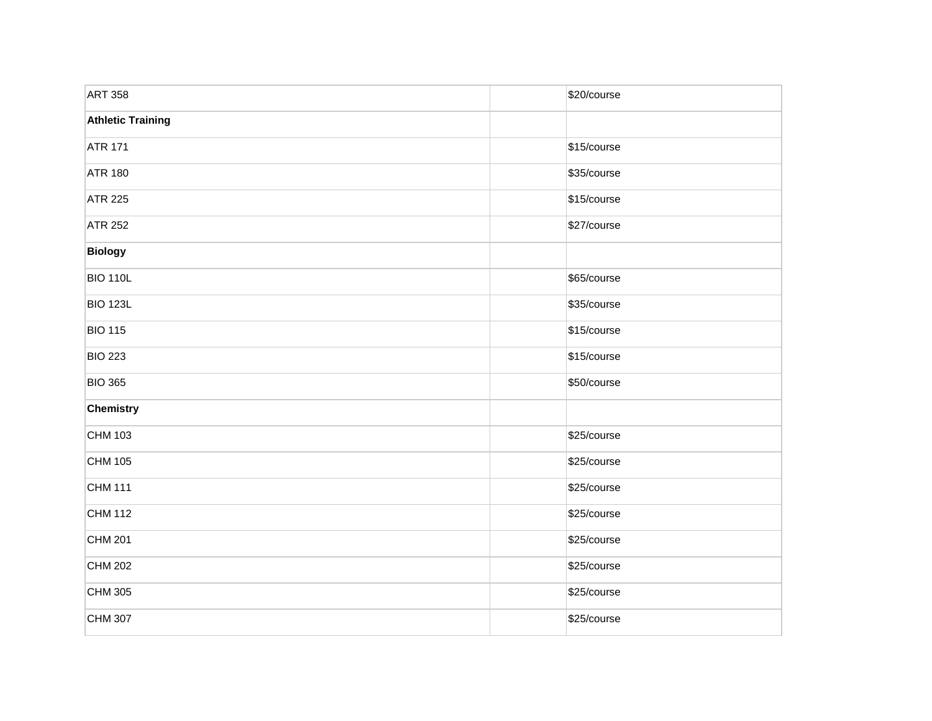| <b>ART 358</b>           | \$20/course |
|--------------------------|-------------|
| <b>Athletic Training</b> |             |
| <b>ATR 171</b>           | \$15/course |
| <b>ATR 180</b>           | \$35/course |
| <b>ATR 225</b>           | \$15/course |
| <b>ATR 252</b>           | \$27/course |
| <b>Biology</b>           |             |
| <b>BIO 110L</b>          | \$65/course |
| <b>BIO 123L</b>          | \$35/course |
| <b>BIO 115</b>           | \$15/course |
| <b>BIO 223</b>           | \$15/course |
| <b>BIO 365</b>           | \$50/course |
| Chemistry                |             |
| CHM 103                  | \$25/course |
| CHM 105                  | \$25/course |
| CHM 111                  | \$25/course |
| CHM 112                  | \$25/course |
| CHM 201                  | \$25/course |
| CHM 202                  | \$25/course |
| CHM 305                  | \$25/course |
| CHM 307                  | \$25/course |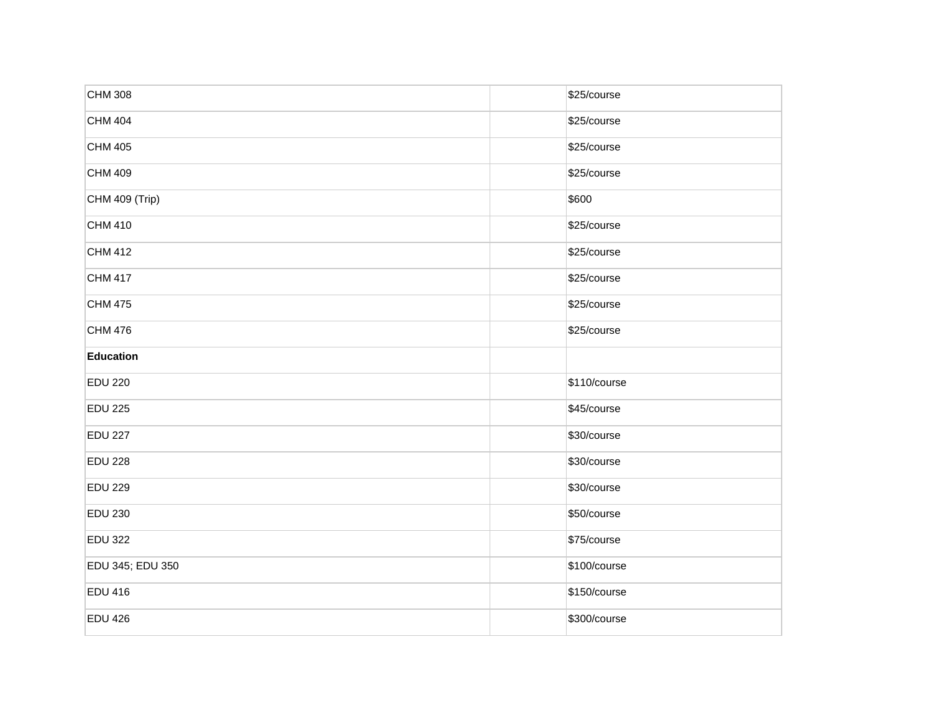| <b>CHM 308</b>   | \$25/course  |  |
|------------------|--------------|--|
| <b>CHM 404</b>   | \$25/course  |  |
| <b>CHM 405</b>   | \$25/course  |  |
| <b>CHM 409</b>   | \$25/course  |  |
| CHM 409 (Trip)   | \$600        |  |
| <b>CHM 410</b>   | \$25/course  |  |
| <b>CHM 412</b>   | \$25/course  |  |
| CHM 417          | \$25/course  |  |
| <b>CHM 475</b>   | \$25/course  |  |
| <b>CHM 476</b>   | \$25/course  |  |
| <b>Education</b> |              |  |
| <b>EDU 220</b>   | \$110/course |  |
| <b>EDU 225</b>   | \$45/course  |  |
| <b>EDU 227</b>   | \$30/course  |  |
| <b>EDU 228</b>   | \$30/course  |  |
| <b>EDU 229</b>   | \$30/course  |  |
| <b>EDU 230</b>   | \$50/course  |  |
| <b>EDU 322</b>   | \$75/course  |  |
| EDU 345; EDU 350 | \$100/course |  |
| <b>EDU 416</b>   | \$150/course |  |
| <b>EDU 426</b>   | \$300/course |  |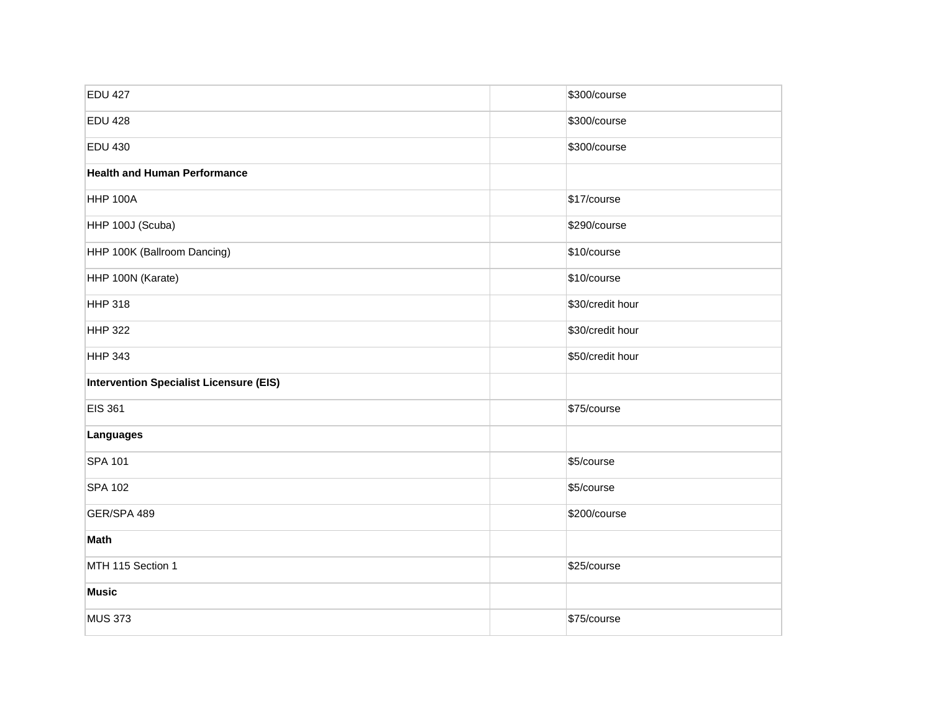| <b>EDU 427</b>                                 | \$300/course     |
|------------------------------------------------|------------------|
| <b>EDU 428</b>                                 | \$300/course     |
| <b>EDU 430</b>                                 | \$300/course     |
| <b>Health and Human Performance</b>            |                  |
| <b>HHP 100A</b>                                | \$17/course      |
| HHP 100J (Scuba)                               | \$290/course     |
| HHP 100K (Ballroom Dancing)                    | \$10/course      |
| HHP 100N (Karate)                              | \$10/course      |
| <b>HHP 318</b>                                 | \$30/credit hour |
| <b>HHP 322</b>                                 | \$30/credit hour |
| <b>HHP 343</b>                                 | \$50/credit hour |
| <b>Intervention Specialist Licensure (EIS)</b> |                  |
| <b>EIS 361</b>                                 | \$75/course      |
| Languages                                      |                  |
| <b>SPA 101</b>                                 | \$5/course       |
| <b>SPA 102</b>                                 | \$5/course       |
| GER/SPA 489                                    | \$200/course     |
| Math                                           |                  |
| MTH 115 Section 1                              | \$25/course      |
| <b>Music</b>                                   |                  |
| <b>MUS 373</b>                                 | \$75/course      |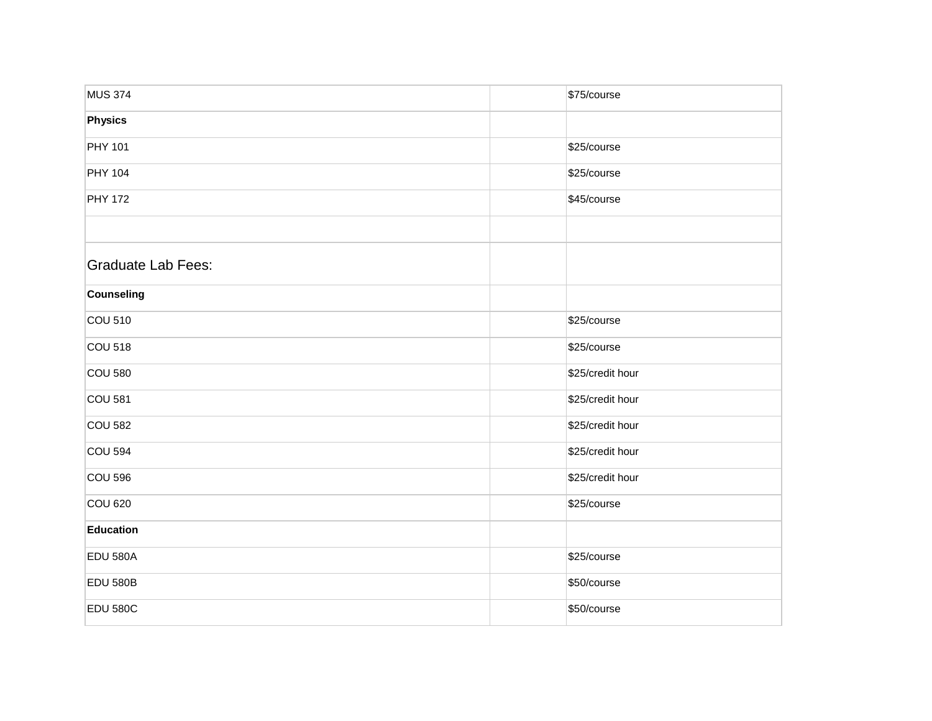| <b>MUS 374</b>            | \$75/course      |
|---------------------------|------------------|
| <b>Physics</b>            |                  |
| <b>PHY 101</b>            | \$25/course      |
| <b>PHY 104</b>            | \$25/course      |
| <b>PHY 172</b>            | \$45/course      |
|                           |                  |
| <b>Graduate Lab Fees:</b> |                  |
| <b>Counseling</b>         |                  |
| <b>COU 510</b>            | \$25/course      |
| <b>COU 518</b>            | \$25/course      |
| <b>COU 580</b>            | \$25/credit hour |
| <b>COU 581</b>            | \$25/credit hour |
| <b>COU 582</b>            | \$25/credit hour |
| <b>COU 594</b>            | \$25/credit hour |
| <b>COU 596</b>            | \$25/credit hour |
| <b>COU 620</b>            | \$25/course      |
| <b>Education</b>          |                  |
| <b>EDU 580A</b>           | \$25/course      |
| <b>EDU 580B</b>           | \$50/course      |
| <b>EDU 580C</b>           | \$50/course      |